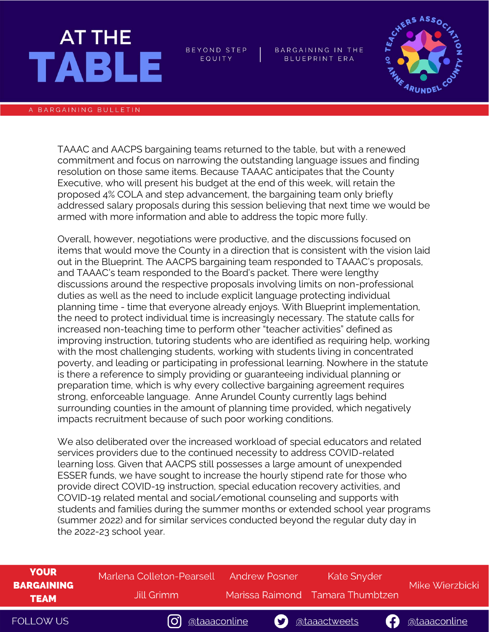## AT THE **TABLE**

BEYOND STEP EQUITY

BARGAINING IN THE BLUEPRINT ERA



## A BARGAINING BULLETIN

TAAAC and AACPS bargaining teams returned to the table, but with a renewed commitment and focus on narrowing the outstanding language issues and finding resolution on those same items. Because TAAAC anticipates that the County Executive, who will present his budget at the end of this week, will retain the proposed 4% COLA and step advancement, the bargaining team only briefly addressed salary proposals during this session believing that next time we would be armed with more information and able to address the topic more fully.

Overall, however, negotiations were productive, and the discussions focused on items that would move the County in a direction that is consistent with the vision laid out in the Blueprint. The AACPS bargaining team responded to TAAAC's proposals, and TAAAC's team responded to the Board's packet. There were lengthy discussions around the respective proposals involving limits on non-professional duties as well as the need to include explicit language protecting individual planning time - time that everyone already enjoys. With Blueprint implementation, the need to protect individual time is increasingly necessary. The statute calls for increased non-teaching time to perform other "teacher activities" defined as improving instruction, tutoring students who are identified as requiring help, working with the most challenging students, working with students living in concentrated poverty, and leading or participating in professional learning. Nowhere in the statute is there a reference to simply providing or guaranteeing individual planning or preparation time, which is why every collective bargaining agreement requires strong, enforceable language. Anne Arundel County currently lags behind surrounding counties in the amount of planning time provided, which negatively impacts recruitment because of such poor working conditions.

We also deliberated over the increased workload of special educators and related services providers due to the continued necessity to address COVID-related learning loss. Given that AACPS still possesses a large amount of unexpended ESSER funds, we have sought to increase the hourly stipend rate for those who provide direct COVID-19 instruction, special education recovery activities, and COVID-19 related mental and social/emotional counseling and supports with students and families during the summer months or extended school year programs (summer 2022) and for similar services conducted beyond the regular duty day in the 2022-23 school year.